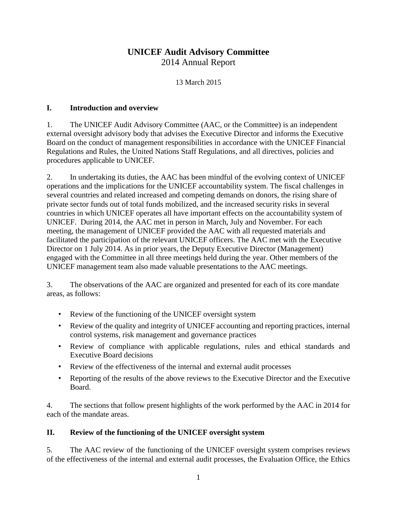# **UNICEF Audit Advisory Committee** 2014 Annual Report

13 March 2015

### **I. Introduction and overview**

1. The UNICEF Audit Advisory Committee (AAC, or the Committee) is an independent external oversight advisory body that advises the Executive Director and informs the Executive Board on the conduct of management responsibilities in accordance with the UNICEF Financial Regulations and Rules, the United Nations Staff Regulations, and all directives, policies and procedures applicable to UNICEF.

2. In undertaking its duties, the AAC has been mindful of the evolving context of UNICEF operations and the implications for the UNICEF accountability system. The fiscal challenges in several countries and related increased and competing demands on donors, the rising share of private sector funds out of total funds mobilized, and the increased security risks in several countries in which UNICEF operates all have important effects on the accountability system of UNICEF. During 2014, the AAC met in person in March, July and November. For each meeting, the management of UNICEF provided the AAC with all requested materials and facilitated the participation of the relevant UNICEF officers. The AAC met with the Executive Director on 1 July 2014. As in prior years, the Deputy Executive Director (Management) engaged with the Committee in all three meetings held during the year. Other members of the UNICEF management team also made valuable presentations to the AAC meetings.

3. The observations of the AAC are organized and presented for each of its core mandate areas, as follows:

- Review of the functioning of the UNICEF oversight system
- Review of the quality and integrity of UNICEF accounting and reporting practices, internal control systems, risk management and governance practices
- Review of compliance with applicable regulations, rules and ethical standards and Executive Board decisions
- Review of the effectiveness of the internal and external audit processes
- Reporting of the results of the above reviews to the Executive Director and the Executive Board.

4. The sections that follow present highlights of the work performed by the AAC in 2014 for each of the mandate areas.

## **II. Review of the functioning of the UNICEF oversight system**

5. The AAC review of the functioning of the UNICEF oversight system comprises reviews of the effectiveness of the internal and external audit processes, the Evaluation Office, the Ethics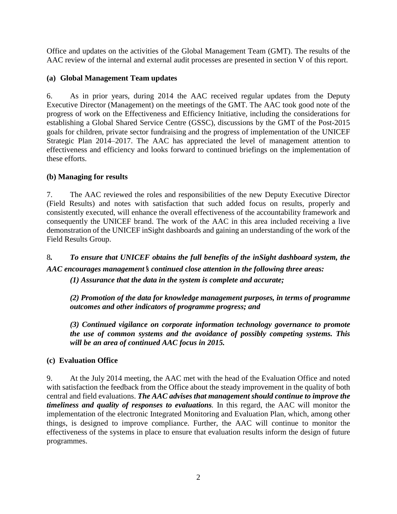Office and updates on the activities of the Global Management Team (GMT). The results of the AAC review of the internal and external audit processes are presented in section V of this report.

## **(a) Global Management Team updates**

6. As in prior years, during 2014 the AAC received regular updates from the Deputy Executive Director (Management) on the meetings of the GMT. The AAC took good note of the progress of work on the Effectiveness and Efficiency Initiative, including the considerations for establishing a Global Shared Service Centre (GSSC), discussions by the GMT of the Post-2015 goals for children, private sector fundraising and the progress of implementation of the UNICEF Strategic Plan 2014–2017. The AAC has appreciated the level of management attention to effectiveness and efficiency and looks forward to continued briefings on the implementation of these efforts.

## **(b) Managing for results**

7. The AAC reviewed the roles and responsibilities of the new Deputy Executive Director (Field Results) and notes with satisfaction that such added focus on results, properly and consistently executed, will enhance the overall effectiveness of the accountability framework and consequently the UNICEF brand. The work of the AAC in this area included receiving a live demonstration of the UNICEF inSight dashboards and gaining an understanding of the work of the Field Results Group.

8*. To ensure that UNICEF obtains the full benefits of the inSight dashboard system, the AAC encourages management*'*s continued close attention in the following three areas: (1) Assurance that the data in the system is complete and accurate;*

*(2) Promotion of the data for knowledge management purposes, in terms of programme outcomes and other indicators of programme progress; and*

*(3) Continued vigilance on corporate information technology governance to promote the use of common systems and the avoidance of possibly competing systems. This will be an area of continued AAC focus in 2015.* 

## **(c) Evaluation Office**

9. At the July 2014 meeting, the AAC met with the head of the Evaluation Office and noted with satisfaction the feedback from the Office about the steady improvement in the quality of both central and field evaluations. *The AAC advises that management should continue to improve the timeliness and quality of responses to evaluations.* In this regard, the AAC will monitor the implementation of the electronic Integrated Monitoring and Evaluation Plan, which, among other things, is designed to improve compliance. Further, the AAC will continue to monitor the effectiveness of the systems in place to ensure that evaluation results inform the design of future programmes.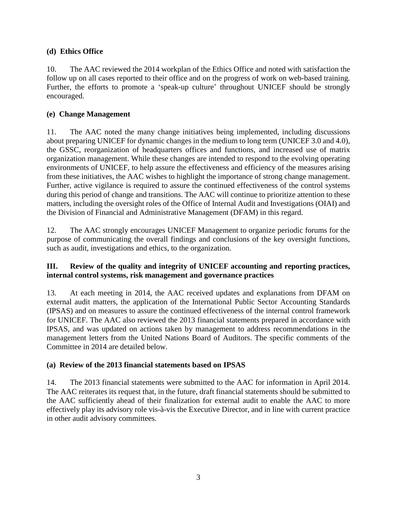## **(d) Ethics Office**

10. The AAC reviewed the 2014 workplan of the Ethics Office and noted with satisfaction the follow up on all cases reported to their office and on the progress of work on web-based training. Further, the efforts to promote a 'speak-up culture' throughout UNICEF should be strongly encouraged.

### **(e) Change Management**

11. The AAC noted the many change initiatives being implemented, including discussions about preparing UNICEF for dynamic changes in the medium to long term (UNICEF 3.0 and 4.0), the GSSC, reorganization of headquarters offices and functions, and increased use of matrix organization management. While these changes are intended to respond to the evolving operating environments of UNICEF, to help assure the effectiveness and efficiency of the measures arising from these initiatives, the AAC wishes to highlight the importance of strong change management. Further, active vigilance is required to assure the continued effectiveness of the control systems during this period of change and transitions. The AAC will continue to prioritize attention to these matters, including the oversight roles of the Office of Internal Audit and Investigations (OIAI) and the Division of Financial and Administrative Management (DFAM) in this regard.

12. The AAC strongly encourages UNICEF Management to organize periodic forums for the purpose of communicating the overall findings and conclusions of the key oversight functions, such as audit, investigations and ethics, to the organization.

### **III. Review of the quality and integrity of UNICEF accounting and reporting practices, internal control systems, risk management and governance practices**

13. At each meeting in 2014, the AAC received updates and explanations from DFAM on external audit matters, the application of the International Public Sector Accounting Standards (IPSAS) and on measures to assure the continued effectiveness of the internal control framework for UNICEF. The AAC also reviewed the 2013 financial statements prepared in accordance with IPSAS, and was updated on actions taken by management to address recommendations in the management letters from the United Nations Board of Auditors. The specific comments of the Committee in 2014 are detailed below.

#### **(a) Review of the 2013 financial statements based on IPSAS**

14. The 2013 financial statements were submitted to the AAC for information in April 2014. The AAC reiterates its request that, in the future, draft financial statements should be submitted to the AAC sufficiently ahead of their finalization for external audit to enable the AAC to more effectively play its advisory role vis-à-vis the Executive Director, and in line with current practice in other audit advisory committees.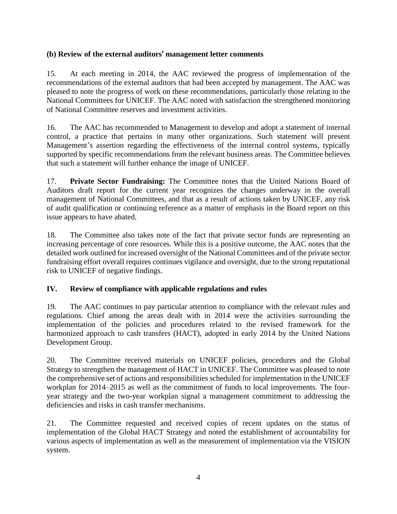### **(b) Review of the external auditors**' **management letter comments**

15. At each meeting in 2014, the AAC reviewed the progress of implementation of the recommendations of the external auditors that had been accepted by management. The AAC was pleased to note the progress of work on these recommendations, particularly those relating to the National Committees for UNICEF. The AAC noted with satisfaction the strengthened monitoring of National Committee reserves and investment activities.

16. The AAC has recommended to Management to develop and adopt a statement of internal control, a practice that pertains in many other organizations. Such statement will present Management's assertion regarding the effectiveness of the internal control systems, typically supported by specific recommendations from the relevant business areas. The Committee believes that such a statement will further enhance the image of UNICEF.

17. **Private Sector Fundraising:** The Committee notes that the United Nations Board of Auditors draft report for the current year recognizes the changes underway in the overall management of National Committees, and that as a result of actions taken by UNICEF, any risk of audit qualification or continuing reference as a matter of emphasis in the Board report on this issue appears to have abated.

18. The Committee also takes note of the fact that private sector funds are representing an increasing percentage of core resources. While this is a positive outcome, the AAC notes that the detailed work outlined for increased oversight of the National Committees and of the private sector fundraising effort overall requires continues vigilance and oversight, due to the strong reputational risk to UNICEF of negative findings.

#### **IV. Review of compliance with applicable regulations and rules**

19. The AAC continues to pay particular attention to compliance with the relevant rules and regulations. Chief among the areas dealt with in 2014 were the activities surrounding the implementation of the policies and procedures related to the revised framework for the harmonized approach to cash transfers (HACT), adopted in early 2014 by the United Nations Development Group.

20. The Committee received materials on UNICEF policies, procedures and the Global Strategy to strengthen the management of HACT in UNICEF. The Committee was pleased to note the comprehensive set of actions and responsibilities scheduled for implementation in the UNICEF workplan for 2014–2015 as well as the commitment of funds to local improvements. The fouryear strategy and the two-year workplan signal a management commitment to addressing the deficiencies and risks in cash transfer mechanisms.

21. The Committee requested and received copies of recent updates on the status of implementation of the Global HACT Strategy and noted the establishment of accountability for various aspects of implementation as well as the measurement of implementation via the VISION system.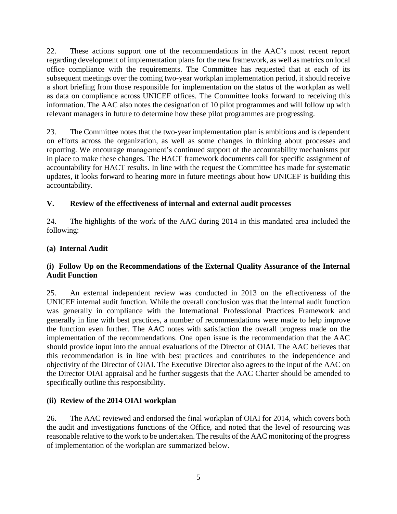22. These actions support one of the recommendations in the AAC's most recent report regarding development of implementation plans for the new framework, as well as metrics on local office compliance with the requirements. The Committee has requested that at each of its subsequent meetings over the coming two-year workplan implementation period, it should receive a short briefing from those responsible for implementation on the status of the workplan as well as data on compliance across UNICEF offices. The Committee looks forward to receiving this information. The AAC also notes the designation of 10 pilot programmes and will follow up with relevant managers in future to determine how these pilot programmes are progressing.

23. The Committee notes that the two-year implementation plan is ambitious and is dependent on efforts across the organization, as well as some changes in thinking about processes and reporting. We encourage management's continued support of the accountability mechanisms put in place to make these changes. The HACT framework documents call for specific assignment of accountability for HACT results. In line with the request the Committee has made for systematic updates, it looks forward to hearing more in future meetings about how UNICEF is building this accountability.

## **V. Review of the effectiveness of internal and external audit processes**

24. The highlights of the work of the AAC during 2014 in this mandated area included the following:

#### **(a) Internal Audit**

#### **(i) Follow Up on the Recommendations of the External Quality Assurance of the Internal Audit Function**

25. An external independent review was conducted in 2013 on the effectiveness of the UNICEF internal audit function. While the overall conclusion was that the internal audit function was generally in compliance with the International Professional Practices Framework and generally in line with best practices, a number of recommendations were made to help improve the function even further. The AAC notes with satisfaction the overall progress made on the implementation of the recommendations. One open issue is the recommendation that the AAC should provide input into the annual evaluations of the Director of OIAI. The AAC believes that this recommendation is in line with best practices and contributes to the independence and objectivity of the Director of OIAI. The Executive Director also agrees to the input of the AAC on the Director OIAI appraisal and he further suggests that the AAC Charter should be amended to specifically outline this responsibility.

#### **(ii) Review of the 2014 OIAI workplan**

26. The AAC reviewed and endorsed the final workplan of OIAI for 2014, which covers both the audit and investigations functions of the Office, and noted that the level of resourcing was reasonable relative to the work to be undertaken. The results of the AAC monitoring of the progress of implementation of the workplan are summarized below.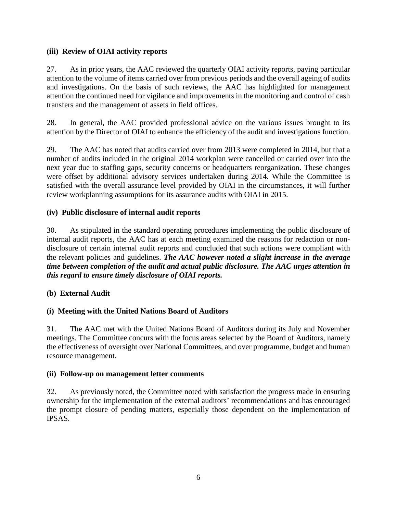### **(iii) Review of OIAI activity reports**

27. As in prior years, the AAC reviewed the quarterly OIAI activity reports, paying particular attention to the volume of items carried over from previous periods and the overall ageing of audits and investigations. On the basis of such reviews, the AAC has highlighted for management attention the continued need for vigilance and improvements in the monitoring and control of cash transfers and the management of assets in field offices.

28. In general, the AAC provided professional advice on the various issues brought to its attention by the Director of OIAI to enhance the efficiency of the audit and investigations function.

29. The AAC has noted that audits carried over from 2013 were completed in 2014, but that a number of audits included in the original 2014 workplan were cancelled or carried over into the next year due to staffing gaps, security concerns or headquarters reorganization. These changes were offset by additional advisory services undertaken during 2014. While the Committee is satisfied with the overall assurance level provided by OIAI in the circumstances, it will further review workplanning assumptions for its assurance audits with OIAI in 2015.

### **(iv) Public disclosure of internal audit reports**

30. As stipulated in the standard operating procedures implementing the public disclosure of internal audit reports, the AAC has at each meeting examined the reasons for redaction or nondisclosure of certain internal audit reports and concluded that such actions were compliant with the relevant policies and guidelines. *The AAC however noted a slight increase in the average time between completion of the audit and actual public disclosure. The AAC urges attention in this regard to ensure timely disclosure of OIAI reports.*

## **(b) External Audit**

## **(i) Meeting with the United Nations Board of Auditors**

31. The AAC met with the United Nations Board of Auditors during its July and November meetings. The Committee concurs with the focus areas selected by the Board of Auditors, namely the effectiveness of oversight over National Committees, and over programme, budget and human resource management.

#### **(ii) Follow-up on management letter comments**

32. As previously noted, the Committee noted with satisfaction the progress made in ensuring ownership for the implementation of the external auditors' recommendations and has encouraged the prompt closure of pending matters, especially those dependent on the implementation of IPSAS.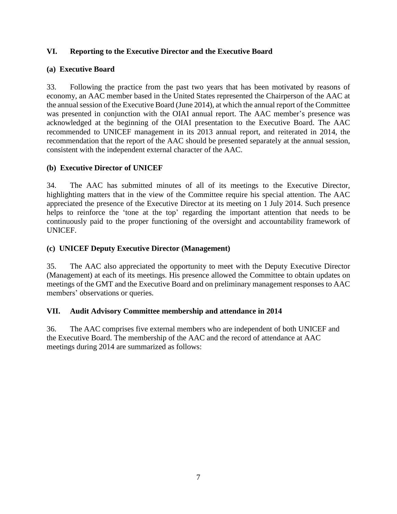### **VI. Reporting to the Executive Director and the Executive Board**

### **(a) Executive Board**

33. Following the practice from the past two years that has been motivated by reasons of economy, an AAC member based in the United States represented the Chairperson of the AAC at the annual session of the Executive Board (June 2014), at which the annual report of the Committee was presented in conjunction with the OIAI annual report. The AAC member's presence was acknowledged at the beginning of the OIAI presentation to the Executive Board. The AAC recommended to UNICEF management in its 2013 annual report, and reiterated in 2014, the recommendation that the report of the AAC should be presented separately at the annual session, consistent with the independent external character of the AAC.

### **(b) Executive Director of UNICEF**

34. The AAC has submitted minutes of all of its meetings to the Executive Director, highlighting matters that in the view of the Committee require his special attention. The AAC appreciated the presence of the Executive Director at its meeting on 1 July 2014. Such presence helps to reinforce the 'tone at the top' regarding the important attention that needs to be continuously paid to the proper functioning of the oversight and accountability framework of UNICEF.

### **(c) UNICEF Deputy Executive Director (Management)**

35. The AAC also appreciated the opportunity to meet with the Deputy Executive Director (Management) at each of its meetings. His presence allowed the Committee to obtain updates on meetings of the GMT and the Executive Board and on preliminary management responses to AAC members' observations or queries.

#### **VII. Audit Advisory Committee membership and attendance in 2014**

36. The AAC comprises five external members who are independent of both UNICEF and the Executive Board. The membership of the AAC and the record of attendance at AAC meetings during 2014 are summarized as follows: